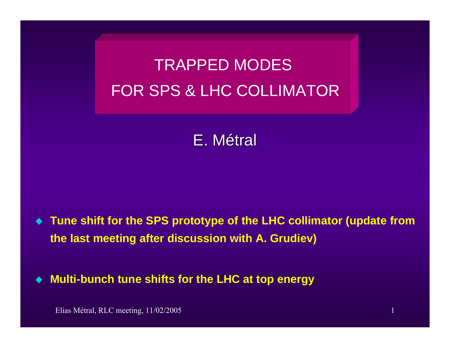# TRAPPED MODES FOR SPS & LHC COLLIMATOR

# E. Métral

 $\blacklozenge$  **Tune shift for the SPS prototype of the LHC collimator (update from the last meeting after discussion with A. Grudiev)**

 $\blacklozenge$ **Multi-bunch tune shifts for the LHC at top energy**

Elias Métral, RLC meeting, 11/02/2005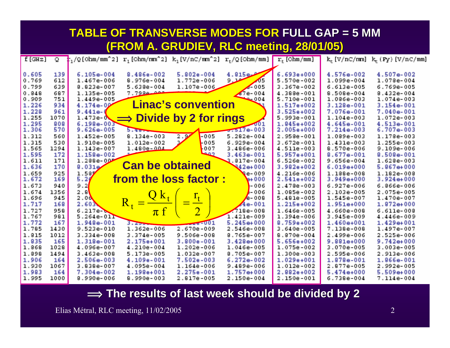| <b>TABLE OF TRANSVERSE MODES FOR FULL GAP = 5 MM</b><br>(FROM A. GRUDIEV, RLC meeting, 28/01/05) |                          |                                                           |                                                          |                                                |                                                                                                 |                                                                |                                                                |                                                             |  |
|--------------------------------------------------------------------------------------------------|--------------------------|-----------------------------------------------------------|----------------------------------------------------------|------------------------------------------------|-------------------------------------------------------------------------------------------------|----------------------------------------------------------------|----------------------------------------------------------------|-------------------------------------------------------------|--|
| $f$ [GHz]                                                                                        | $\overline{Q}$ .         |                                                           |                                                          |                                                | $r_1/Q$ [Ohm/mm <sup>2</sup> 2] $r_1$ [Ohm/mm <sup>2</sup> 2] $k_1(V/nC/mm^2)$ $r_+/Q$ [Ohm/mm] | $r_{+}$ [Ohm/mm]                                               |                                                                | $k_{+}$ [V/nC/mm] $k_{+}$ (Fy) [V/nC/mm]                    |  |
| 0.605<br>0.769<br>0.799<br>0.848                                                                 | 139<br>612<br>639<br>687 | $6.105e-004$<br>1.467e-006<br>8.823e-007<br>1.135e-005    | 8.486e-002<br>$8.976e - 004$<br>$5.638e - 004$<br>7.7999 | $5.802e - 004$<br>1.772e-006<br>1.107e-006     | 4.915e<br>$9 -$<br>$\sqrt{5}$<br>$\swarrow$ 005<br>$\sqrt{7}e-004$                              | $6.693e+000$<br>5.570e-002<br>3.367e-002<br>$4.388e - 001$     | 4.576e-002<br>1.099e-004<br>$6.613e-005$<br>8.509e-004         | $4.507e-002$<br>1.078e-004<br>6.769e-005<br>$8.432e - 004$  |  |
| 0.909<br>1.226<br>1.228                                                                          | 751<br>934<br>961        | 1.449e-005<br>$4.174e-0$<br>$9.441e-$                     |                                                          | <b>Linac's convention</b>                      | $800 -$                                                                                         | 5.710e-001<br>1.517e+002<br>$3.525e+002$                       | 1,086e-003<br>$3.128e - 001$<br>7.076e-001                     | $1.074e-003$<br>$3.154e-001$<br>7.040e-001                  |  |
| 1.255<br>1.295<br>1.306                                                                          | 1070<br>909<br>570       | $1.473e - N$<br>$6.198e-003$<br>$9.626e - 005$            | $\implies$ Divide by 2 for rings<br>5.4816               |                                                | 001<br>$5.517e-003$                                                                             | 5.993e-001<br>1.845e+002<br>$2.005e+000$                       | $1.104e-003$<br>4.645e-001<br>$7.214e-003$                     | 1.072e-003<br>4.513e-001<br>$6.707e-003$                    |  |
| 1.312<br>1.315<br>1.565                                                                          | 560<br>530<br>1294       | 1.452e-005<br>1.910e-005<br>1.143e-007                    | $8.134e - 003$<br>$1.012e-002$<br>$1.480e - 0.04$        | 2.9<br>$-005$<br>-005<br>007<br>وعد            | $5.282e-004$<br>$6.929e-004$<br>3.486e-006                                                      | 2.958e-001<br>$3.672e - 001$<br>$4.511e-003$                   | 1.089e-003<br>$1.431 - 003$<br>8.570e-006                      | 1.178e-003<br>$1.2556 - 003$<br>$9.109e - 006$              |  |
| 1.595<br>1.611<br>1.636<br>1.659                                                                 | 172<br>171<br>170<br>925 | 1.158e-002<br>$1.288e - 0$<br>9.031 <sub>9</sub><br>1.50/ | <b>Can be obtained</b>                                   |                                                | $3.463e-001$<br>$2.817e-004$<br>$342e + 000$<br><b>Me-009</b>                                   | 5.957e+001<br>$6.526e - 002$<br>$3.982e+002$<br>$4.216e - 006$ | $8.677e - 001$<br>$9.656e - 004$<br>$6.019e+000$<br>1,188e-008 | 9.509e-001<br>$1.628e-003$<br>$5.967+000$<br>$1.182e-008$   |  |
| 1.672<br>1.673<br>1.674                                                                          | 169<br>940<br>1356       | 5.2/<br>9.2<br>2.9                                        | from the loss factor:                                    |                                                | $900*$<br>$-006$<br>$\blacktriangle$ -006                                                       | $2.541e+002$<br>2.478e-003<br>1.095e-002                       | $3.949e+000$<br>$6.927e - 006$<br>$2.103e-005$                 | $3.924 + 000$<br>$6.866e-006$<br>2.075e-005                 |  |
| 1.696<br>1.717<br>1.727                                                                          | 945<br>168<br>958        | $2.0\,$<br>2.603                                          | $Qk_{t}$                                                 |                                                | $/2 - 008$<br>$4e-001$<br>$718e-008$                                                            | 5.481e-005<br>1.215e+002                                       | 1.545e-007<br>1.951e+000<br>$4.660e - 008$                     | 1.470e-007<br>$1.972 + 000$                                 |  |
| 1.767<br>1.772<br>1.785                                                                          | 981<br>167<br>1430       | 6.217e<br>$5.264e-011$<br>1.948e-001<br>$9.523e-010$      | $\pi$ f<br><b>Barbaran</b><br>1.362e-006                 | $\overline{2}$<br>$-101$<br>2.670e-009         | 1.421e-009<br>$5.245+000$<br>$2.546e-008$                                                       | 1.646e-005<br>1.394e-006<br>$8.759e+002$<br>$3.640e - 005$     | 3.945e-009<br>$1.460e+001$<br>7.138e-008                       | $6.611e-008$<br>4.446e-009<br>$1.429 + 001$<br>$1.497e-007$ |  |
| 1.815<br>1.935<br>1.868                                                                          | 1012<br>165<br>1028      | 3.334e-008<br>1.318e-001<br>4.096e-007                    | $3.374e - 005$<br>2.175e+001<br>$4.210e-004$             | $9.506e - 008$<br>3.800e-001<br>$1.202e - 006$ | 8.765e-007<br>$3.428 + 000$<br>1.046e-005                                                       | $8.870e - 004$<br>5.656e+002<br>1.075e-002                     | 2.499e-006<br>$9.881e+000$<br>3.070e-005                       | 2.525e-006<br>$9.742 + 000$<br>$3.003e-005$                 |  |
| 1,898<br>1.906<br>1.930                                                                          | 1494<br>164<br>1067      | 3.463e-008<br>$2.506e-003$<br>3.838e-007                  | 5.173e-005<br>$4.109e-001$<br>$4.095e-004$               | 1.032e-007<br>7.502e-003<br>$1.164e-006$       | 8.705e-007<br>$6.272e-002$<br>$9.489e - 006$                                                    | 1,300e-003<br>$1.029e + 001$<br>$1.012e-002$                   | 2.595e-006<br>1.878e-001<br>$2.877e - 005$                     | 2.913e-006<br>1.866e-001<br>$2.992e-005$                    |  |
| 1.983<br>1.995                                                                                   | 164<br>1000              | 7.304e-002<br>9.990e-006                                  | $1.198e+001$<br>$8.990e - 003$                           | 2.275e-001<br>$2.817e-005$                     | $1.757+000$<br>$2.150e-004$                                                                     | $2.992e+002$<br>$2.150e - 001$                                 | $5.474e+000$<br>$6.738e - 004$                                 | $5.509 + 000$<br>$7.114e-004$                               |  |

 $\implies$  The results of last week should be divided by 2

Elias Métral, RLC meeting, 11/02/2005 2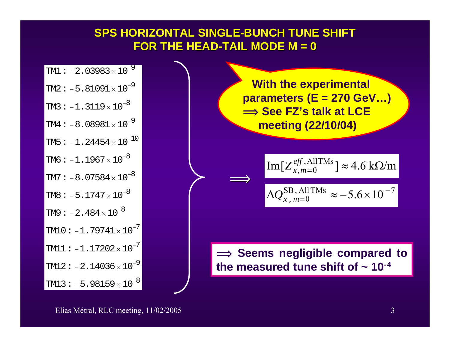### **SPS HORIZONTAL SINGLE SPS HORIZONTAL SINGLE-BUNCH TUNE SHIFT BUNCH TUNE SHIFT FOR THE HEAD FOR THE HEAD-TAIL MODE M = 0 TAIL MODE M = 0**

| TM1: $-2.03983 \times 10^{-9}$  |
|---------------------------------|
| TM2: $-5.81091 \times 10^{-9}$  |
| TM3: $-1.3119 \times 10^{-8}$   |
| TM4: $-8.08981 \times 10^{-9}$  |
| TM5: $-1.24454 \times 10^{-10}$ |
| TM6: $-1.1967 \times 10^{-8}$   |
| $TM7: -8.07584 \times 10^{-8}$  |
| TM8: $-5.1747 \times 10^{-8}$   |
| TM9: $-2.484\times10^{-8}$      |
| $TM10: -1.79741 \times 10^{-7}$ |
| $TM11:-1.17202\times10^{-7}$    |
| TM12: $-2.14036 \times 10^{-9}$ |
| TM13: $-5.98159 \times 10^{-8}$ |

 $\implies$  $\Delta {\cal Q}^{\rm SB \,,\,All\,TMs}_{x \,,\;m=0} \approx -5.6\!\times\!10^{\,-7}$ =  $Q_{x, m=0}^{\rm SD, All IMS} \approx -5.6 \times$ **With the experimental parameters (E = 270 GeV…) î See FZ's talk at LCE meeting (22/10/04)**  ${\rm Im}[Z_{x,m=0}^{e\!f\!f},{\rm AllTMs}\,]\approx 4.6~{\rm k}\Omega/{\rm m}$  $\implies$  Seems negligible compared to the measured tune shift of  $\sim 10^{-4}$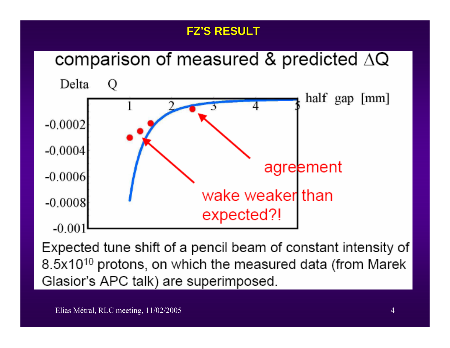# **FZ'S RESULT S RESULT**



Expected tune shift of a pencil beam of constant intensity of 8.5x10<sup>10</sup> protons, on which the measured data (from Marek Glasior's APC talk) are superimposed.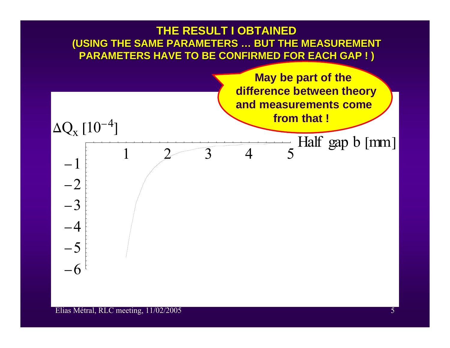#### **THE RESULT I OBTAINED** (USING THE SAME PARAMETERS ... BUT THE MEASUREMENT **PARAMETERS HAVE TO BE CONFIRMED FOR EACH GAP ! ) PARAMETERS HAVE TO BE CONFIRMED FOR EACH GAP ! )**

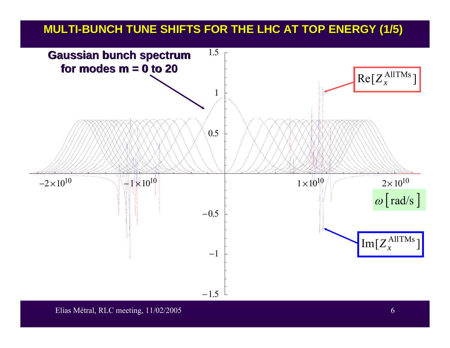#### **MULTI -BUNCH TUNE SHIFTS FOR THE BUNCH TUNE SHIFTS FOR THE LHC AT TOP ENERGY (1/5) LHC AT TOP ENERGY (1/5)**

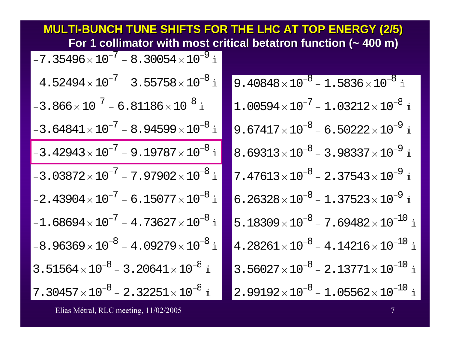| <b>MULTI-BUNCH TUNE SHIFTS FOR THE LHC AT TOP ENERGY (2/5)</b><br>For 1 collimator with most critical betatron function ( $\sim$ 400 m) |                                                                         |  |  |  |  |  |  |
|-----------------------------------------------------------------------------------------------------------------------------------------|-------------------------------------------------------------------------|--|--|--|--|--|--|
| $-7.35496\times10^{-7}$ - 8.30054 $\times10^{-9}$ i                                                                                     |                                                                         |  |  |  |  |  |  |
| $-4.52494\times{10}^{-7}$ – 3.55758 $\times{10}^{-8}$ i                                                                                 | $9.40848\times10^{-8} - 1.5836\times10^{-8}$ i                          |  |  |  |  |  |  |
| $-3.866\times10^{-7}$ – 6.81186 $\times10^{-8}$ i                                                                                       | $1.00594\times{10}^{-7}$ – 1.03212 $\times\,10^{-8}$ i                  |  |  |  |  |  |  |
| $-3.64841\times10^{-7}$ - 8.94599 $\times10^{-8}$ i                                                                                     | 9.67417 $\times$ 10 <sup>-8</sup> - 6.50222 $\times$ 10 <sup>-9</sup> i |  |  |  |  |  |  |
| $-3$ . $42943\times{10}^{-7}$ – 9 . $19787\times{10}^{-8}$ i                                                                            | $8.69313\times10^{-8}$ – 3.98337 $\times10^{-9}$ i                      |  |  |  |  |  |  |
| $-3.03872\times10^{-7}$ – $7.97902\times10^{-8}$ i                                                                                      | $7.47613\times10^{-8}$ – 2.37543 $\times10^{-9}$ i                      |  |  |  |  |  |  |
| $-2.43904\times10^{-7}$ – 6.15077 $\times10^{-8}$ i                                                                                     | $6.26328 \times 10^{-8} - 1.37523 \times 10^{-9}$ i                     |  |  |  |  |  |  |
| $-1.68694\times{10}^{-7}$ – $4.73627\times{10}^{-8}$ i                                                                                  | $5.18309 \times 10^{-8}$ – 7.69482 $\times$ 10 <sup>-10</sup> i         |  |  |  |  |  |  |
| $-8.96369\times10^{-8}$ – $4.09279\times10^{-8}$ i                                                                                      | $4.28261\times{10}^{-8} - 4.14216\times{10}^{-10}$ i                    |  |  |  |  |  |  |
| $3.51564\times10^{-8}$ – 3.20641 $\times10^{-8}$ i                                                                                      | $3.56027 \times 10^{-8} - 2.13771 \times 10^{-10}$ i                    |  |  |  |  |  |  |
| $7.30457\times{10}^{-8}$ – $2.32251\times{10}^{-8}$ i                                                                                   | $2.99192\times{10}^{-8}$ – 1.05562 $\times{10}^{-10}$ i                 |  |  |  |  |  |  |

Elias Métral, RLC meeting, 11/02/2005 7 and 2008 7 and 2008 7 and 2008 7 and 2008 7 and 2008 7 and 2008 7 and 2008 7 and 2008 7 and 2008 7 and 2008 7 and 2008 7 and 2008 7 and 2008 7 and 2008 7 and 2008 7 and 2008 7 and 20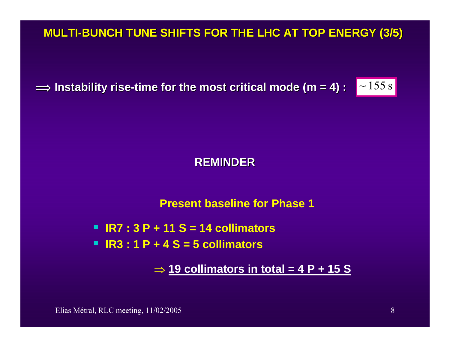**MULTI -BUNCH TUNE SHIFTS FOR THE BUNCH TUNE SHIFTS FOR THE LHC AT TOP ENERGY (3/5) LHC AT TOP ENERGY (3/5)**

 $\implies$  Instability rise-time for the most critical mode (m = 4) :  $\;\mid$   $\sim$   $155 \text{ s}$ 

#### **REMINDER REMINDER**

#### **Present baseline for Phase 1**

- **IR7 : 3 P + 11 S = 14 collimators**
- **IR3 : 1 P + 4 S = 5 collimators**

⇒ **19 collimators in total = 4 P + 15 S**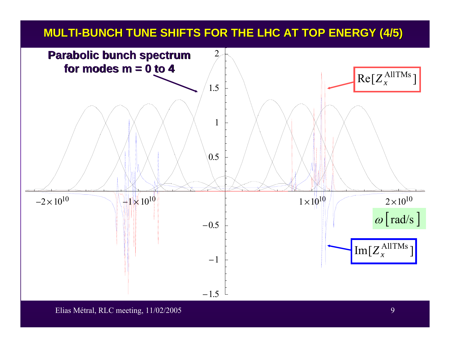## **MULTI -BUNCH TUNE SHIFTS FOR THE BUNCH TUNE SHIFTS FOR THE LHC AT TOP ENERGY (4/5) LHC AT TOP ENERGY (4/5)**



Elias Métral, RLC meeting, 11/02/2005 9